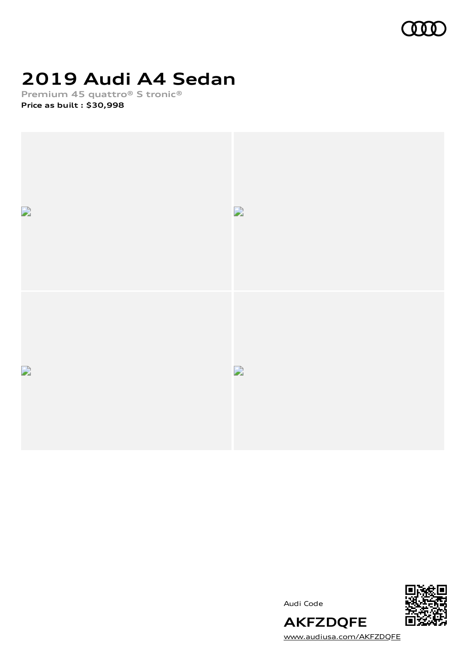

# **2019 Audi A4 Sedan**

**Premium 45 quattro® S tronic®**





Audi Code



[www.audiusa.com/AKFZDQFE](https://www.audiusa.com/AKFZDQFE)

**AKFZDQFE**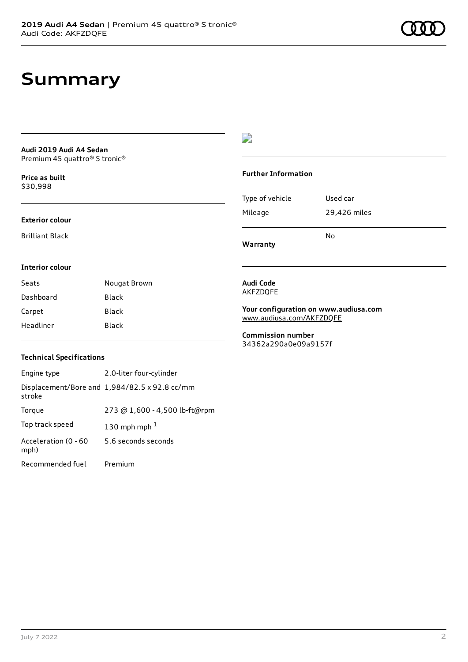## **Summary**

#### **Audi 2019 Audi A4 Sedan** Premium 45 quattro® S tronic®

**Price as buil[t](#page-10-0)** \$30,998

#### **Exterior colour**

Brilliant Black

#### $\overline{\phantom{a}}$

#### **Further Information**

|                 | N٥           |
|-----------------|--------------|
| Mileage         | 29,426 miles |
| Type of vehicle | Used car     |

**Warranty**

#### **Interior colour**

| Seats     | Nougat Brown |
|-----------|--------------|
| Dashboard | Black        |
| Carpet    | <b>Black</b> |
| Headliner | Black        |

#### **Audi Code** AKFZDQFE

**Your configuration on www.audiusa.com** [www.audiusa.com/AKFZDQFE](https://www.audiusa.com/AKFZDQFE)

**Commission number** 34362a290a0e09a9157f

#### **Technical Specifications**

| Engine type                  | 2.0-liter four-cylinder                       |
|------------------------------|-----------------------------------------------|
| stroke                       | Displacement/Bore and 1,984/82.5 x 92.8 cc/mm |
| Torque                       | 273 @ 1,600 - 4,500 lb-ft@rpm                 |
| Top track speed              | 130 mph mph $1$                               |
| Acceleration (0 - 60<br>mph) | 5.6 seconds seconds                           |
| Recommended fuel             | Premium                                       |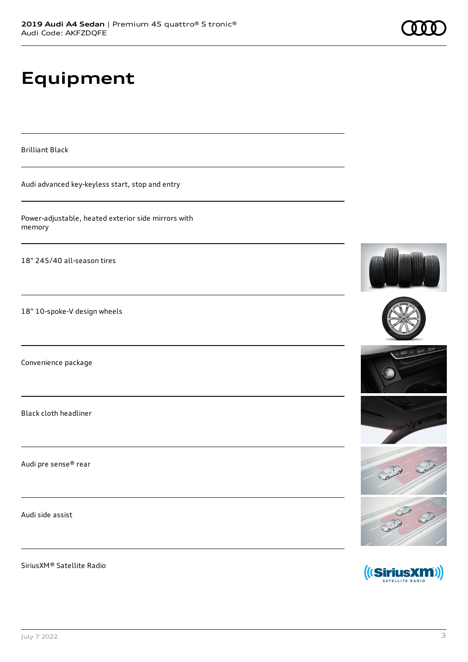# **Equipment**

Brilliant Black

Audi advanced key-keyless start, stop and entry

Power-adjustable, heated exterior side mirrors with memory

18" 245/40 all-season tires

18" 10-spoke-V design wheels

Convenience package

Black cloth headliner

Audi pre sense® rear

Audi side assist

SiriusXM® Satellite Radio











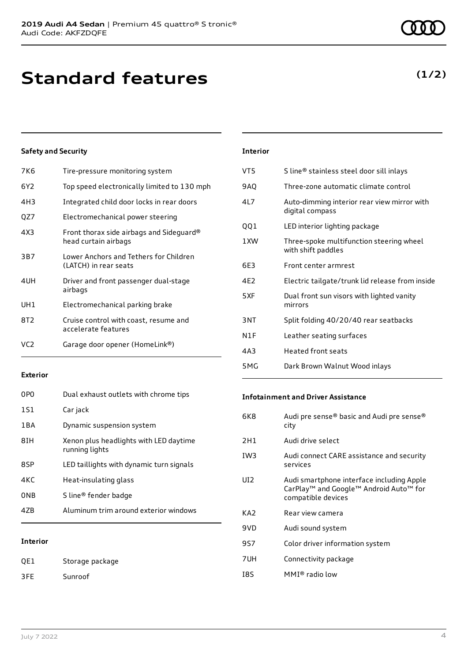## **Standard features**

#### **Safety and Security**

| 7K <sub>6</sub> | Tire-pressure monitoring system                                  |
|-----------------|------------------------------------------------------------------|
| 6Y2             | Top speed electronically limited to 130 mph                      |
| 4H3             | Integrated child door locks in rear doors                        |
| QZ7             | Electromechanical power steering                                 |
| 4X3             | Front thorax side airbags and Sideguard®<br>head curtain airbags |
| 3B7             | Lower Anchors and Tethers for Children<br>(LATCH) in rear seats  |
| 4UH             | Driver and front passenger dual-stage<br>airbags                 |
| UH1             | Electromechanical parking brake                                  |
| 8T2             | Cruise control with coast, resume and<br>accelerate features     |
| VC <sub>2</sub> | Garage door opener (HomeLink®)                                   |
|                 |                                                                  |

#### **Exterior**

| 0PO        | Dual exhaust outlets with chrome tips                    |
|------------|----------------------------------------------------------|
| 1S1        | Car jack                                                 |
| 1BA        | Dynamic suspension system                                |
| 8TH        | Xenon plus headlights with LED daytime<br>running lights |
| 8SP        | LED taillights with dynamic turn signals                 |
| 4KC        | Heat-insulating glass                                    |
| <b>ONB</b> | S line® fender badge                                     |
| 47R        | Aluminum trim around exterior windows                    |
|            |                                                          |

#### **Interior**

QE1 Storage package 3FE Sunroof

### **Interior** VT5 S line® stainless steel door sill inlays 9AQ Three-zone automatic climate control 4L7 Auto-dimming interior rear view mirror with digital compass QQ1 LED interior lighting package 1XW Three-spoke multifunction steering wheel with shift paddles 6E3 Front center armrest 4E2 Electric tailgate/trunk lid release from inside 5XF Dual front sun visors with lighted vanity mirrors 3NT Split folding 40/20/40 rear seatbacks N1F Leather seating surfaces 4A3 Heated front seats

5MG Dark Brown Walnut Wood inlays

#### **Infotainment and Driver Assistance**

| 6K8             | Audi pre sense® basic and Audi pre sense®<br>city                                                                     |
|-----------------|-----------------------------------------------------------------------------------------------------------------------|
| 2H1             | Audi drive select                                                                                                     |
| IW <sub>3</sub> | Audi connect CARE assistance and security<br>services                                                                 |
| UI <sub>2</sub> | Audi smartphone interface including Apple<br>CarPlay <sup>™</sup> and Google™ Android Auto™ for<br>compatible devices |
| KA2             | Rear view camera                                                                                                      |
| 9VD             | Audi sound system                                                                                                     |
| 9S7             | Color driver information system                                                                                       |
| 7UH             | Connectivity package                                                                                                  |
| 18S             | MMI® radio low                                                                                                        |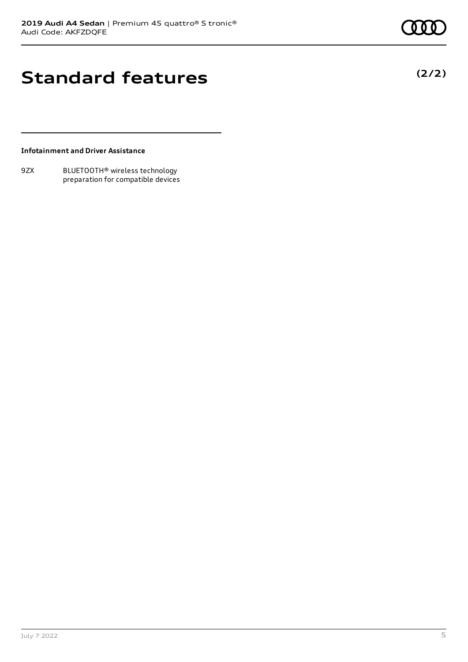# **Standard features**

**(2/2)**

#### **Infotainment and Driver Assistance**

9ZX BLUETOOTH® wireless technology preparation for compatible devices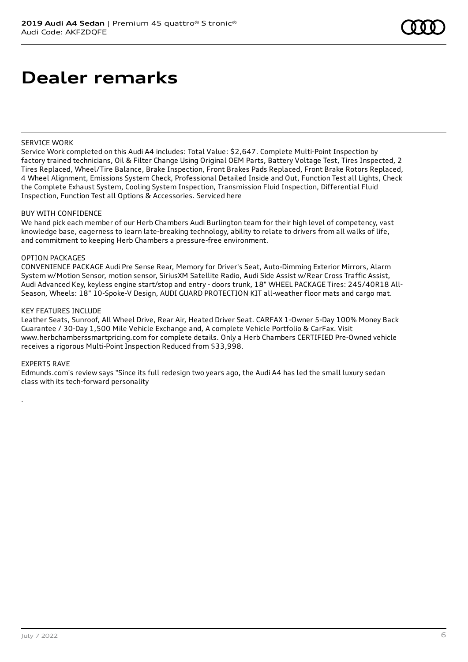#### SERVICE WORK

Service Work completed on this Audi A4 includes: Total Value: \$2,647. Complete Multi-Point Inspection by factory trained technicians, Oil & Filter Change Using Original OEM Parts, Battery Voltage Test, Tires Inspected, 2 Tires Replaced, Wheel/Tire Balance, Brake Inspection, Front Brakes Pads Replaced, Front Brake Rotors Replaced, 4 Wheel Alignment, Emissions System Check, Professional Detailed Inside and Out, Function Test all Lights, Check the Complete Exhaust System, Cooling System Inspection, Transmission Fluid Inspection, Differential Fluid Inspection, Function Test all Options & Accessories. Serviced here

#### BUY WITH CONFIDENCE

We hand pick each member of our Herb Chambers Audi Burlington team for their high level of competency, vast knowledge base, eagerness to learn late-breaking technology, ability to relate to drivers from all walks of life, and commitment to keeping Herb Chambers a pressure-free environment.

#### OPTION PACKAGES

CONVENIENCE PACKAGE Audi Pre Sense Rear, Memory for Driver's Seat, Auto-Dimming Exterior Mirrors, Alarm System w/Motion Sensor, motion sensor, SiriusXM Satellite Radio, Audi Side Assist w/Rear Cross Traffic Assist, Audi Advanced Key, keyless engine start/stop and entry - doors trunk, 18" WHEEL PACKAGE Tires: 245/40R18 All-Season, Wheels: 18" 10-Spoke-V Design, AUDI GUARD PROTECTION KIT all-weather floor mats and cargo mat.

#### KEY FEATURES INCLUDE

Leather Seats, Sunroof, All Wheel Drive, Rear Air, Heated Driver Seat. CARFAX 1-Owner 5-Day 100% Money Back Guarantee / 30-Day 1,500 Mile Vehicle Exchange and, A complete Vehicle Portfolio & CarFax. Visit www.herbchamberssmartpricing.com for complete details. Only a Herb Chambers CERTIFIED Pre-Owned vehicle receives a rigorous Multi-Point Inspection Reduced from \$33,998.

#### EXPERTS RAVE

.

Edmunds.com's review says "Since its full redesign two years ago, the Audi A4 has led the small luxury sedan class with its tech-forward personality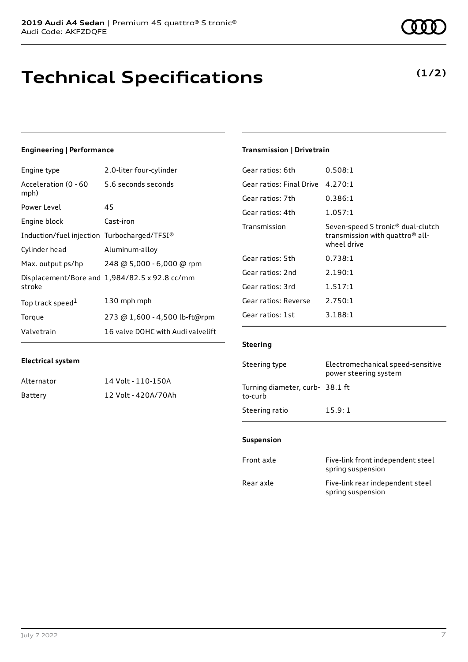# **Technical Specifications**

### **Engineering | Performance**

| Engine type                                 | 2.0-liter four-cylinder                       |
|---------------------------------------------|-----------------------------------------------|
| Acceleration (0 - 60<br>mph)                | 5.6 seconds seconds                           |
| Power Level                                 | 45                                            |
| Engine block                                | Cast-iron                                     |
| Induction/fuel injection Turbocharged/TFSI® |                                               |
| Cylinder head                               | Aluminum-alloy                                |
| Max. output ps/hp                           | 248 @ 5,000 - 6,000 @ rpm                     |
| stroke                                      | Displacement/Bore and 1,984/82.5 x 92.8 cc/mm |
| Top track speed <sup>1</sup>                | 130 mph mph                                   |
| Torque                                      | 273 @ 1,600 - 4,500 lb-ft@rpm                 |
| Valvetrain                                  | 16 valve DOHC with Audi valvelift             |

#### **Transmission | Drivetrain**

| Gear ratios: 6th         | 0.508:1                                                                                                     |
|--------------------------|-------------------------------------------------------------------------------------------------------------|
| Gear ratios: Final Drive | 4.270:1                                                                                                     |
| Gear ratios: 7th         | 0.386:1                                                                                                     |
| Gear ratios: 4th         | 1.057:1                                                                                                     |
| Transmission             | Seven-speed S tronic <sup>®</sup> dual-clutch<br>transmission with quattro <sup>®</sup> all-<br>wheel drive |
| Gear ratios: 5th         | 0.738:1                                                                                                     |
| Gear ratios: 2nd         | 2.190:1                                                                                                     |
| Gear ratios: 3rd         | 1.517:1                                                                                                     |
| Gear ratios: Reverse     | 2.750:1                                                                                                     |
| Gear ratios: 1st         | 3.188:1                                                                                                     |
|                          |                                                                                                             |

#### **Steering**

| Steering type                             | Electromechanical speed-sensitive<br>power steering system |
|-------------------------------------------|------------------------------------------------------------|
| Turning diameter, curb-38.1 ft<br>to-curb |                                                            |
| Steering ratio                            | 15.9:1                                                     |

#### **Suspension**

| Front axle | Five-link front independent steel<br>spring suspension |
|------------|--------------------------------------------------------|
| Rear axle  | Five-link rear independent steel<br>spring suspension  |

| Alternator | 14 Volt - 110-150A  |
|------------|---------------------|
| Battery    | 12 Volt - 420A/70Ah |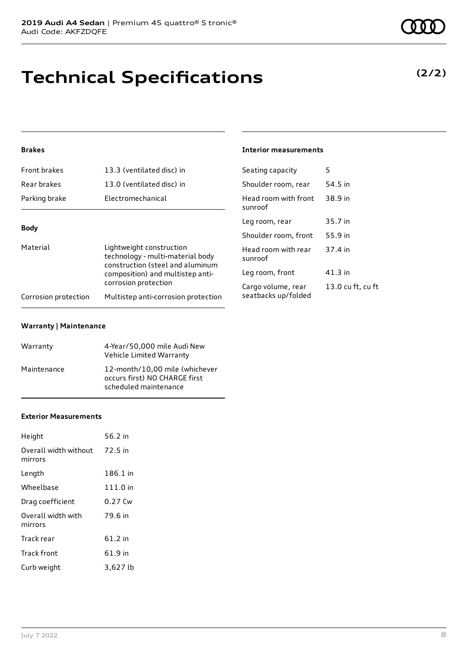# **Technical Specifications**

### **(2/2)**

#### **Brakes**

| Front brakes                                                                                                                                                             | 13.3 (ventilated disc) in           | Seating capacity                | 5       |
|--------------------------------------------------------------------------------------------------------------------------------------------------------------------------|-------------------------------------|---------------------------------|---------|
| Rear brakes                                                                                                                                                              | 13.0 (ventilated disc) in           | Shoulder room, rear             | 54.5 in |
| Parking brake                                                                                                                                                            | Electromechanical                   | Head room with front<br>sunroof | 38.9 in |
|                                                                                                                                                                          |                                     | Leg room, rear                  | 35.7 in |
| <b>Body</b>                                                                                                                                                              |                                     | Shoulder room, front            | 55.9 in |
| Material<br>Lightweight construction<br>technology - multi-material body<br>construction (steel and aluminum<br>composition) and multistep anti-<br>corrosion protection | Head room with rear<br>sunroof      | 37.4 in                         |         |
|                                                                                                                                                                          |                                     | Leg room, front                 | 41.3 in |
|                                                                                                                                                                          |                                     | Cargo volume, rear              | 13.0 cu |
| Corrosion protection                                                                                                                                                     | Multistep anti-corrosion protection | seatbacks up/folded             |         |

**Interior measurements**

13.0 cu ft, cu ft

#### **Warranty | Maintenance**

| Warranty    | 4-Year/50,000 mile Audi New<br>Vehicle Limited Warranty                                  |
|-------------|------------------------------------------------------------------------------------------|
| Maintenance | 12-month/10,00 mile (whichever<br>occurs first) NO CHARGE first<br>scheduled maintenance |

#### **Exterior Measurements**

| Height                           | 56.2 in  |
|----------------------------------|----------|
| Overall width without<br>mirrors | 72.5 in  |
| Length                           | 186.1 in |
| Wheelbase                        | 111.0 in |
| Drag coefficient                 | 0.27 Cw  |
| Overall width with<br>mirrors    | 79.6 in  |
| Track rear                       | 61.2 in  |
| <b>Track front</b>               | 61.9 in  |
| Curb weight                      | 3,627 lb |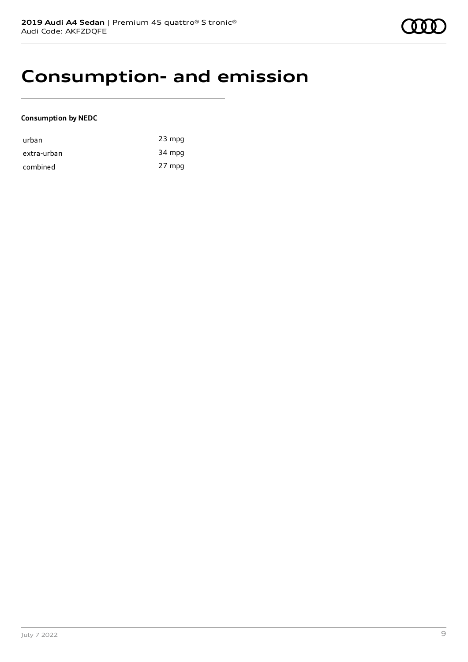### **Consumption- and emission**

#### **Consumption by NEDC**

| urban       | $23$ mpg |
|-------------|----------|
| extra-urban | 34 mpg   |
| combined    | 27 mpg   |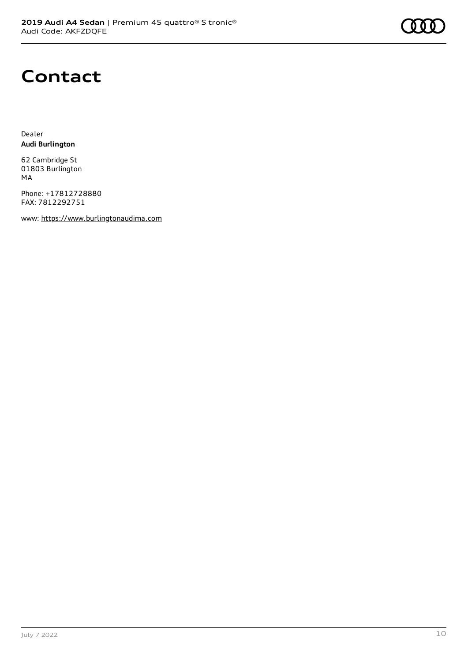### **Contact**

Dealer **Audi Burlington**

62 Cambridge St 01803 Burlington MA

Phone: +17812728880 FAX: 7812292751

www: [https://www.burlingtonaudima.com](https://www.burlingtonaudima.com/)